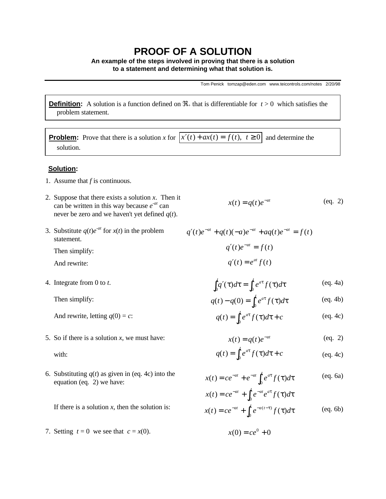## **PROOF OF A SOLUTION**

**An example of the steps involved in proving that there is a solution to a statement and determining what that solution is.**

Tom Penick tomzap@eden.com www.teicontrols.com/notes 2/20/98

**Definition:** A solution is a function defined on  $\mathcal{R}_+$  that is differentiable for  $t > 0$  which satisfies the problem statement.

**Problem:** Prove that there is a solution *x* for  $\overline{x'(t) + ax(t)} = f(t), t \ge 0$  and determine the solution.

## **Solution:**

- 1. Assume that *f* is continuous.
- 2. Suppose that there exists a solution *x*. Then it can be written in this way because  $e^{-at}$  can never be zero and we haven't yet defined *q*(*t*).
- 3. Substitute  $q(t)e^{-at}$  for  $x(t)$  in the problem statement.

Then simplify:

And rewrite:

4. Integrate from 0 to *t*.

Then simplify:

And rewrite, letting  $q(0) = c$ :

5. So if there is a solution *x*, we must have:

with:

6. Substituting  $q(t)$  as given in (eq. 4c) into the equation (eq. 2) we have:

If there is a solution  $x$ , then the solution is:

7. Setting  $t = 0$  we see that  $c = x(0)$ .

$$
x(t) = q(t)e^{-at} \qquad \qquad (eq. 2)
$$

$$
q'(t)e^{-at} + q(t)(-a)e^{-at} + aq(t)e^{-at} = f(t)
$$

$$
q'(t)e^{-at} = f(t)
$$

$$
q'(t) = e^{at}f(t)
$$

$$
\int_0^t q'(\tau) d\tau = \int_0^t e^{a\tau} f(\tau) d\tau
$$
 (eq. 4a)

$$
q(t) - q(0) = \int_0^t e^{a\tau} f(\tau) d\tau
$$
 (eq. 4b)

$$
q(t) = \int_0^t e^{a\tau} f(\tau) d\tau + c
$$
 (eq. 4c)

$$
x(t) = q(t)e^{-at} \tag{eq. 2}
$$

$$
q(t) = \int_0^t e^{a\tau} f(\tau) d\tau + c
$$
 (eq. 4c)

- $x(t) = ce^{-at} + e^{-at} \int_0^t e^{at} f(\tau) d\tau$ (eq. 6a)
- $x(t) = ce^{-at} + \int_0^t e^{-at} e^{at} f(\tau) d\tau$  $x(t) = ce^{-at} + \int_0^t e^{-a(t-\tau)} f(\tau) d\tau$ (eq. 6b)

$$
x(0) = ce^0 + 0
$$